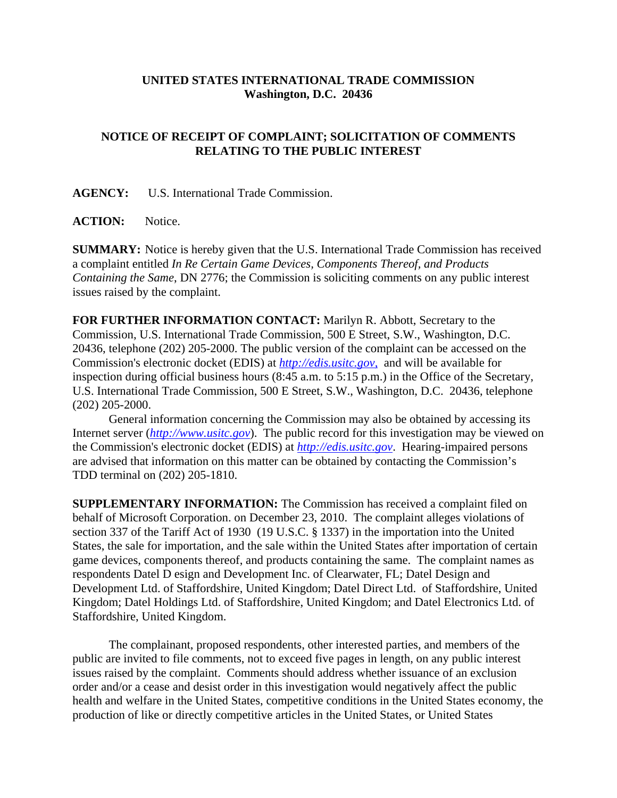## **UNITED STATES INTERNATIONAL TRADE COMMISSION Washington, D.C. 20436**

## **NOTICE OF RECEIPT OF COMPLAINT; SOLICITATION OF COMMENTS RELATING TO THE PUBLIC INTEREST**

**AGENCY:** U.S. International Trade Commission.

**ACTION:** Notice.

**SUMMARY:** Notice is hereby given that the U.S. International Trade Commission has received a complaint entitled *In Re Certain Game Devices, Components Thereof, and Products Containing the Same*, DN 2776; the Commission is soliciting comments on any public interest issues raised by the complaint.

**FOR FURTHER INFORMATION CONTACT:** Marilyn R. Abbott, Secretary to the Commission, U.S. International Trade Commission, 500 E Street, S.W., Washington, D.C. 20436, telephone (202) 205-2000. The public version of the complaint can be accessed on the Commission's electronic docket (EDIS) at *http://edis.usitc.gov*, and will be available for inspection during official business hours (8:45 a.m. to 5:15 p.m.) in the Office of the Secretary, U.S. International Trade Commission, 500 E Street, S.W., Washington, D.C. 20436, telephone (202) 205-2000.

General information concerning the Commission may also be obtained by accessing its Internet server (*http://www.usitc.gov*). The public record for this investigation may be viewed on the Commission's electronic docket (EDIS) at *http://edis.usitc.gov*. Hearing-impaired persons are advised that information on this matter can be obtained by contacting the Commission's TDD terminal on (202) 205-1810.

**SUPPLEMENTARY INFORMATION:** The Commission has received a complaint filed on behalf of Microsoft Corporation. on December 23, 2010. The complaint alleges violations of section 337 of the Tariff Act of 1930 (19 U.S.C. § 1337) in the importation into the United States, the sale for importation, and the sale within the United States after importation of certain game devices, components thereof, and products containing the same. The complaint names as respondents Datel D esign and Development Inc. of Clearwater, FL; Datel Design and Development Ltd. of Staffordshire, United Kingdom; Datel Direct Ltd. of Staffordshire, United Kingdom; Datel Holdings Ltd. of Staffordshire, United Kingdom; and Datel Electronics Ltd. of Staffordshire, United Kingdom.

The complainant, proposed respondents, other interested parties, and members of the public are invited to file comments, not to exceed five pages in length, on any public interest issues raised by the complaint. Comments should address whether issuance of an exclusion order and/or a cease and desist order in this investigation would negatively affect the public health and welfare in the United States, competitive conditions in the United States economy, the production of like or directly competitive articles in the United States, or United States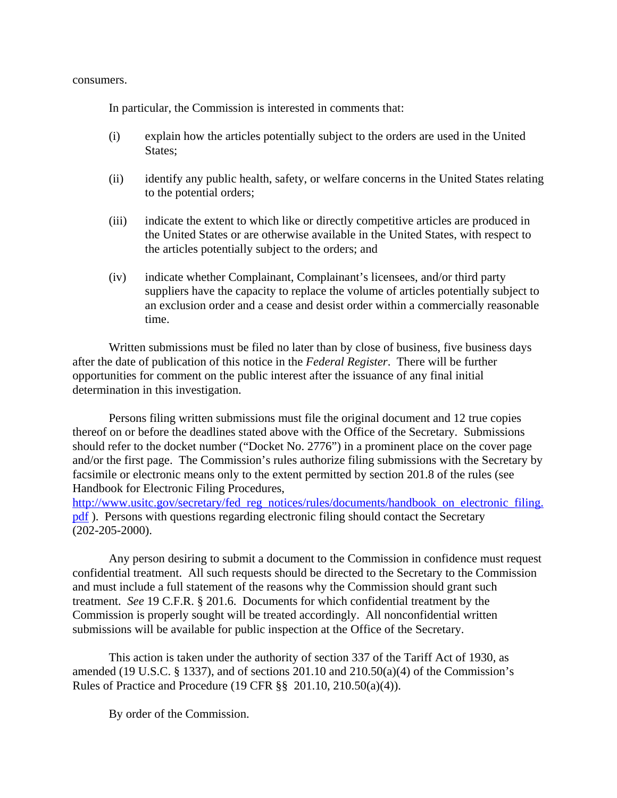consumers.

In particular, the Commission is interested in comments that:

- (i) explain how the articles potentially subject to the orders are used in the United States;
- (ii) identify any public health, safety, or welfare concerns in the United States relating to the potential orders;
- (iii) indicate the extent to which like or directly competitive articles are produced in the United States or are otherwise available in the United States, with respect to the articles potentially subject to the orders; and
- (iv) indicate whether Complainant, Complainant's licensees, and/or third party suppliers have the capacity to replace the volume of articles potentially subject to an exclusion order and a cease and desist order within a commercially reasonable time.

Written submissions must be filed no later than by close of business, five business days after the date of publication of this notice in the *Federal Register*. There will be further opportunities for comment on the public interest after the issuance of any final initial determination in this investigation.

Persons filing written submissions must file the original document and 12 true copies thereof on or before the deadlines stated above with the Office of the Secretary. Submissions should refer to the docket number ("Docket No. 2776") in a prominent place on the cover page and/or the first page. The Commission's rules authorize filing submissions with the Secretary by facsimile or electronic means only to the extent permitted by section 201.8 of the rules (see Handbook for Electronic Filing Procedures,

http://www.usitc.gov/secretary/fed\_reg\_notices/rules/documents/handbook\_on\_electronic\_filing. pdf ). Persons with questions regarding electronic filing should contact the Secretary (202-205-2000).

Any person desiring to submit a document to the Commission in confidence must request confidential treatment. All such requests should be directed to the Secretary to the Commission and must include a full statement of the reasons why the Commission should grant such treatment. *See* 19 C.F.R. § 201.6. Documents for which confidential treatment by the Commission is properly sought will be treated accordingly. All nonconfidential written submissions will be available for public inspection at the Office of the Secretary.

This action is taken under the authority of section 337 of the Tariff Act of 1930, as amended (19 U.S.C.  $\S$  1337), and of sections 201.10 and 210.50(a)(4) of the Commission's Rules of Practice and Procedure (19 CFR §§ 201.10, 210.50(a)(4)).

By order of the Commission.